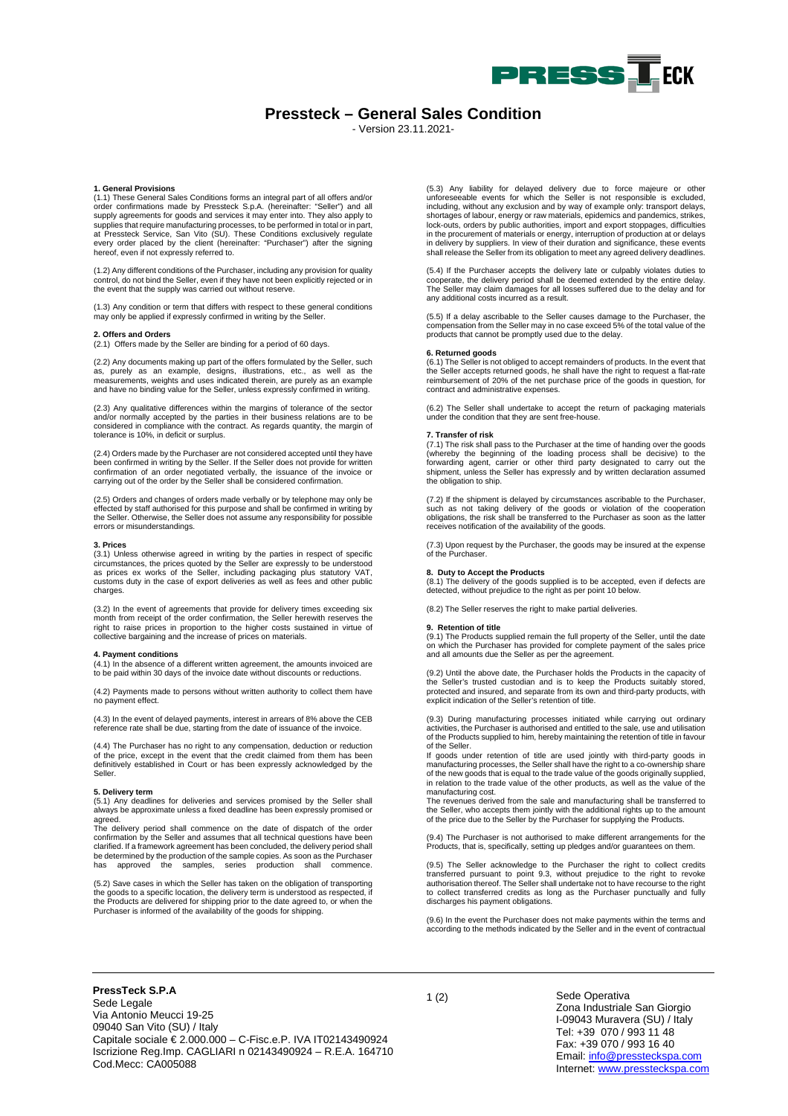

# **Pressteck – General Sales Condition**

- Version 23.11.2021-

### **1. General Provisions**

(1.1) These General Sales Conditions forms an integral part of all offers and/or order confirmations made by Pressteck S.p.A. (hereinafter: "Seller") and all supply agreements for goods and services it may enter into. They also apply to supplies that require manufacturing processes, to be performed in total or in part, at Pressteck Service, San Vito (SU). These Conditions exclusively regulate every order placed by the client (hereinafter: "Purchaser") after the signing hereof, even if not expressly referred to.

(1.2) Any different conditions of the Purchaser, including any provision for quality control, do not bind the Seller, even if they have not been explicitly rejected or in the event that the supply was carried out without reserve.

(1.3) Any condition or term that differs with respect to these general conditions may only be applied if expressly confirmed in writing by the Seller.

# **2. Offers and Orders**

(2.1) Offers made by the Seller are binding for a period of 60 days.

(2.2) Any documents making up part of the offers formulated by the Seller, such as, purely as an example, designs, illustrations, etc., as well as the measurements, weights and uses indicated therein, are purely as an example and have no binding value for the Seller, unless expressly confirmed in writing.

(2.3) Any qualitative differences within the margins of tolerance of the sector and/or normally accepted by the parties in their business relations are to be considered in compliance with the contract. As regards quantity, the margin of tolerance is 10%, in deficit or surplus.

(2.4) Orders made by the Purchaser are not considered accepted until they have been confirmed in writing by the Seller. If the Seller does not provide for written confirmation of an order negotiated verbally, the issuance of the invoice or carrying out of the order by the Seller shall be considered confirmation.

(2.5) Orders and changes of orders made verbally or by telephone may only be effected by staff authorised for this purpose and shall be confirmed in writing by the Seller. Otherwise, the Seller does not assume any responsibility for possible errors or misunderstandings.

**3. Prices**<br>(3.1) Unless otherwise agreed in writing by the parties in respect of specific<br>circumstances, the prices quoted by the Seller are expressly to be understood<br>as prices ex works of the Seller, including packaging charges.

(3.2) In the event of agreements that provide for delivery times exceeding six month from receipt of the order confirmation, the Seller herewith reserves the right to raise prices in proportion to the higher costs sustained in virtue of collective bargaining and the increase of prices on materials.

# **4. Payment conditions**

(4.1) In the absence of a different written agreement, the amounts invoiced are to be paid within 30 days of the invoice date without discounts or reductions.

(4.2) Payments made to persons without written authority to collect them have no payment effect.

(4.3) In the event of delayed payments, interest in arrears of 8% above the CEB reference rate shall be due, starting from the date of issuance of the invoice.

(4.4) The Purchaser has no right to any compensation, deduction or reduction of the price, except in the event that the credit claimed from them has been definitively established in Court or has been expressly acknowledged by the Seller.

# **5. Delivery term**

(5.1) Any deadlines for deliveries and services promised by the Seller shall always be approximate unless a fixed deadline has been expressly promised or agreed.

The delivery period shall commence on the date of dispatch of the order confirmation by the Seller and assumes that all technical questions have been clarified. If a framework agreement has been concluded, the delivery period shall be determined by the production of the sample copies. As soon as the Purchaser has approved the samples, series production shall commence.

(5.2) Save cases in which the Seller has taken on the obligation of transporting<br>the goods to a specific location, the delivery term is understood as respected, if<br>the Products are delivered for shipping prior to the date Purchaser is informed of the availability of the goods for shipping.

(5.3) Any liability for delayed delivery due to force majeure or other unforeseeable events for which the Seller is not responsible is excluded, including, without any exclusion and by way of example only: transport delays, shortages of labour, energy or raw materials, epidemics and pandemics, strikes, lock-outs, orders by public authorities, import and export stoppages, difficulties in the procurement of materials or energy, interruption of production at or delays in delivery by suppliers. In view of their duration and significance, these events shall release the Seller from its obligation to meet any agreed delivery deadlines.

(5.4) If the Purchaser accepts the delivery late or culpably violates duties to cooperate, the delivery period shall be deemed extended by the entire delay. The Seller may claim damages for all losses suffered due to the delay and for any additional costs incurred as a result.

(5.5) If a delay ascribable to the Seller causes damage to the Purchaser, the compensation from the Seller may in no case exceed 5% of the total value of the products that cannot be promptly used due to the delay.

# **6. Returned goods**

(6.1) The Seller is not obliged to accept remainders of products. In the event that the Seller accepts returned goods, he shall have the right to request a flat-rate reimbursement of 20% of the net purchase price of the goods in question, for contract and administrative expenses.

(6.2) The Seller shall undertake to accept the return of packaging materials under the condition that they are sent free-house.

#### **7. Transfer of risk**

(7.1) The risk shall pass to the Purchaser at the time of handing over the goods (whereby the beginning of the loading process shall be decisive) to the forwarding agent, carrier or other third party designated to carry out the shipment, unless the Seller has expressly and by written declaration assumed the obligation to ship.

(7.2) If the shipment is delayed by circumstances ascribable to the Purchaser, such as not taking delivery of the goods or violation of the cooperation obligations, the risk shall be transferred to the Purchaser as soon as the latter receives notification of the availability of the goods.

(7.3) Upon request by the Purchaser, the goods may be insured at the expense of the Purchaser.

# **8. Duty to Accept the Products**

(8.1) The delivery of the goods supplied is to be accepted, even if defects are detected, without prejudice to the right as per point 10 below.

(8.2) The Seller reserves the right to make partial deliveries.

#### **9. Retention of title**

(9.1) The Products supplied remain the full property of the Seller, until the date on which the Purchaser has provided for complete payment of the sales price and all amounts due the Seller as per the agreement.

(9.2) Until the above date, the Purchaser holds the Products in the capacity of the Seller's trusted custodian and is to keep the Products suitably stored, protected and insured, and separate from its own and third-party products, with explicit indication of the Seller's retention of title.

(9.3) During manufacturing processes initiated while carrying out ordinary activities, the Purchaser is authorised and entitled to the sale, use and utilisation of the Products supplied to him, hereby maintaining the retention of title in favour of the Seller.

If goods under retention of title are used jointly with third-party goods in manufacturing processes, the Seller shall have the right to a co-ownership share of the new goods that is equal to the trade value of the goods originally supplied, in relation to the trade value of the other products, as well as the value of the manufacturing cost.

The revenues derived from the sale and manufacturing shall be transferred to the Seller, who accepts them jointly with the additional rights up to the amount of the price due to the Seller by the Purchaser for supplying the Products.

(9.4) The Purchaser is not authorised to make different arrangements for the Products, that is, specifically, setting up pledges and/or guarantees on them.

(9.5) The Seller acknowledge to the Purchaser the right to collect credits transferred pursuant to point 9.3, without prejudice to the right to revoke authorisation thereof. The Seller shall undertake not to have recourse to the right to collect transferred credits as long as the Purchaser punctually and fully discharges his payment obligations.

(9.6) In the event the Purchaser does not make payments within the terms and according to the methods indicated by the Seller and in the event of contractual

<sup>1</sup> (2) **PressTeck S.P.A** Sede Legale Via Antonio Meucci 19-25 09040 San Vito (SU) / Italy Capitale sociale € 2.000.000 – C-Fisc.e.P. IVA IT02143490924 Iscrizione Reg.Imp. CAGLIARI n 02143490924 – R.E.A. 164710 Cod.Mecc: CA005088

# Sede Operativa Zona Industriale San Giorgio I-09043 Muravera (SU) / Italy Tel: +39 070 / 993 11 48 Fax: +39 070 / 993 16 40 Email[: info@pressteckspa.com](mailto:info@pressteckspa.com) Internet[: www.pressteckspa.com](http://www.pressteckspa.com/)